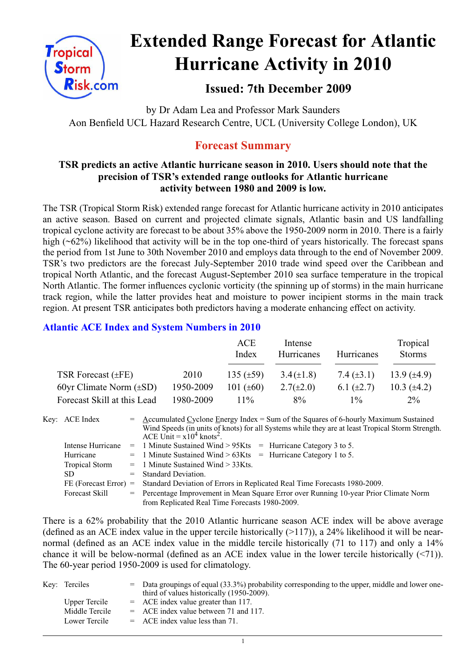

# **Extended Range Forecast for Atlantic Hurricane Activity in 2010**

# **Issued: 7th December 2009**

by Dr Adam Lea and Professor Mark Saunders Aon Benfield UCL Hazard Research Centre, UCL (University College London), UK

# **Forecast Summary**

# **TSR predicts an active Atlantic hurricane season in 2010. Users should note that the precision of TSR's extended range outlooks for Atlantic hurricane activity between 1980 and 2009 is low.**

The TSR (Tropical Storm Risk) extended range forecast for Atlantic hurricane activity in 2010 anticipates an active season. Based on current and projected climate signals, Atlantic basin and US landfalling tropical cyclone activity are forecast to be about 35% above the 1950-2009 norm in 2010. There is a fairly high (~62%) likelihood that activity will be in the top one-third of years historically. The forecast spans the period from 1st June to 30th November 2010 and employs data through to the end of November 2009. TSR's two predictors are the forecast July-September 2010 trade wind speed over the Caribbean and tropical North Atlantic, and the forecast August-September 2010 sea surface temperature in the tropical North Atlantic. The former influences cyclonic vorticity (the spinning up of storms) in the main hurricane track region, while the latter provides heat and moisture to power incipient storms in the main track region. At present TSR anticipates both predictors having a moderate enhancing effect on activity.

# **Atlantic ACE Index and System Numbers in 2010**

|                              |           | ACE<br>Index   | Intense<br>Hurricanes | Hurricanes      | Tropical<br><b>Storms</b> |
|------------------------------|-----------|----------------|-----------------------|-----------------|---------------------------|
| TSR Forecast $(\pm FE)$      | 2010      | 135 $(\pm 59)$ | $3.4(\pm 1.8)$        | 7.4 $(\pm 3.1)$ | 13.9 $(\pm 4.9)$          |
| 60yr Climate Norm $(\pm SD)$ | 1950-2009 | 101 $(\pm 60)$ | $2.7(\pm 2.0)$        | 6.1 $(\pm 2.7)$ | 10.3 $(\pm 4.2)$          |
| Forecast Skill at this Lead  | 1980-2009 | $11\%$         | $8\%$                 | $1\%$           | $2\%$                     |

| Key: ACE Index          | $=$ Accumulated Cyclone Energy Index = Sum of the Squares of 6-hourly Maximum Sustained<br>Wind Speeds (in units of knots) for all Systems while they are at least Tropical Storm Strength.<br>ACE Unit = $x10^4$ knots <sup>2</sup> . |
|-------------------------|----------------------------------------------------------------------------------------------------------------------------------------------------------------------------------------------------------------------------------------|
| Intense Hurricane       | $=$ 1 Minute Sustained Wind > 95Kts $=$ Hurricane Category 3 to 5.                                                                                                                                                                     |
| Hurricane               | $=$ 1 Minute Sustained Wind > 63Kts $=$ Hurricane Category 1 to 5.                                                                                                                                                                     |
| <b>Tropical Storm</b>   | $=$ 1 Minute Sustained Wind $>$ 33Kts.                                                                                                                                                                                                 |
| SD.                     | $=$ Standard Deviation.                                                                                                                                                                                                                |
| $FE$ (Forecast Error) = | Standard Deviation of Errors in Replicated Real Time Forecasts 1980-2009.                                                                                                                                                              |
| Forecast Skill          | = Percentage Improvement in Mean Square Error over Running 10-year Prior Climate Norm                                                                                                                                                  |
|                         | from Replicated Real Time Forecasts 1980-2009.                                                                                                                                                                                         |

There is a 62% probability that the 2010 Atlantic hurricane season ACE index will be above average (defined as an ACE index value in the upper tercile historically  $(>117)$ ), a 24% likelihood it will be nearnormal (defined as an ACE index value in the middle tercile historically (71 to 117) and only a 14% chance it will be below-normal (defined as an ACE index value in the lower tercile historically (<71)). The 60-year period 1950-2009 is used for climatology.

| Key: Terciles  | $=$ Data groupings of equal (33.3%) probability corresponding to the upper, middle and lower one-<br>third of values historically (1950-2009). |
|----------------|------------------------------------------------------------------------------------------------------------------------------------------------|
| Upper Tercile  | $=$ ACE index value greater than 117.                                                                                                          |
| Middle Tercile | $=$ ACE index value between 71 and 117.                                                                                                        |
| Lower Tercile  | $=$ ACE index value less than 71.                                                                                                              |

1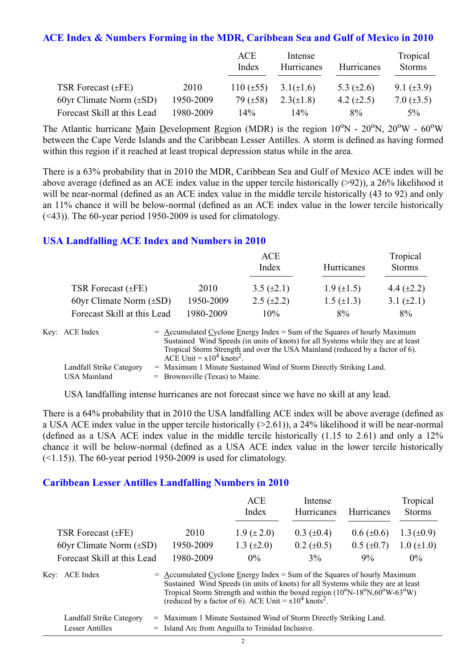#### **ACE Index & Numbers Forming in the MDR, Caribbean Sea and Gulf of Mexico in 2010**

|                              |           | ACE<br>Index   | Intense<br>Hurricanes | <b>Hurricanes</b> | Tropical<br><b>Storms</b> |
|------------------------------|-----------|----------------|-----------------------|-------------------|---------------------------|
| TSR Forecast $(\pm FE)$      | 2010      | $110 (\pm 55)$ | $3.1(\pm 1.6)$        | 5.3 $(\pm 2.6)$   | 9.1 $(\pm 3.9)$           |
| 60yr Climate Norm $(\pm SD)$ | 1950-2009 | 79 $(\pm 58)$  | $2.3(\pm 1.8)$        | 4.2 $(\pm 2.5)$   | 7.0 $(\pm 3.5)$           |
| Forecast Skill at this Lead  | 1980-2009 | $14\%$         | $14\%$                | $8\%$             | $5\%$                     |

The Atlantic hurricane Main Development Region (MDR) is the region  $10^{\circ}$ N -  $20^{\circ}$ N,  $20^{\circ}$ W -  $60^{\circ}$ W between the Cape Verde Islands and the Caribbean Lesser Antilles. A storm is defined as having formed within this region if it reached at least tropical depression status while in the area.

There is a 63% probability that in 2010 the MDR, Caribbean Sea and Gulf of Mexico ACE index will be above average (defined as an ACE index value in the upper tercile historically (>92)), a 26% likelihood it will be near-normal (defined as an ACE index value in the middle tercile historically (43 to 92) and only an 11% chance it will be below-normal (defined as an ACE index value in the lower tercile historically (<43)). The 60-year period 1950-2009 is used for climatology.

#### **USA Landfalling ACE Index and Numbers in 2010**

|                              |           | ACE<br>Index      | Hurricanes        | Tropical<br><b>Storms</b> |
|------------------------------|-----------|-------------------|-------------------|---------------------------|
| TSR Forecast $(\pm FE)$      | 2010      | 3.5 $(\pm 2.1)$   | $1.9 \ (\pm 1.5)$ | 4.4 $(\pm 2.2)$           |
| 60yr Climate Norm $(\pm SD)$ | 1950-2009 | $2.5 \ (\pm 2.2)$ | $1.5 \ (\pm 1.3)$ | 3.1 $(\pm 2.1)$           |
| Forecast Skill at this Lead  | 1980-2009 | 10%               | 8%                | 8%                        |

| Key: ACE Index           | $=$ Accumulated Cyclone Energy Index $=$ Sum of the Squares of hourly Maximum     |
|--------------------------|-----------------------------------------------------------------------------------|
|                          | Sustained Wind Speeds (in units of knots) for all Systems while they are at least |
|                          | Tropical Storm Strength and over the USA Mainland (reduced by a factor of 6).     |
|                          | ACE Unit $= x10^4$ knots <sup>2</sup> .                                           |
| Landfall Strike Category | $=$ Maximum 1 Minute Sustained Wind of Storm Directly Striking Land.              |
| USA Mainland             | $=$ Brownsville (Texas) to Maine.                                                 |

USA landfalling intense hurricanes are not forecast since we have no skill at any lead.

There is a 64% probability that in 2010 the USA landfalling ACE index will be above average (defined as a USA ACE index value in the upper tercile historically (>2.61)), a 24% likelihood it will be near-normal (defined as a USA ACE index value in the middle tercile historically (1.15 to 2.61) and only a 12% chance it will be below-normal (defined as a USA ACE index value in the lower tercile historically  $(\leq 1.15)$ ). The 60-year period 1950-2009 is used for climatology.

#### **Caribbean Lesser Antilles Landfalling Numbers in 2010**

|                              |                                                                                                                                                                  | ACE<br>Index    | Intense<br><b>Hurricanes</b> | Hurricanes        | Tropical<br><b>Storms</b> |
|------------------------------|------------------------------------------------------------------------------------------------------------------------------------------------------------------|-----------------|------------------------------|-------------------|---------------------------|
| TSR Forecast $(\pm FE)$      | 2010                                                                                                                                                             | $1.9 (\pm 2.0)$ | $0.3 \ (\pm 0.4)$            | $0.6 (\pm 0.6)$   | $1.3 \ (\pm 0.9)$         |
| 60yr Climate Norm $(\pm SD)$ | 1950-2009                                                                                                                                                        | 1.3 $(\pm 2.0)$ | $0.2 \ (\pm 0.5)$            | $0.5 \ (\pm 0.7)$ | $1.0 (\pm 1.0)$           |
| Forecast Skill at this Lead  | 1980-2009                                                                                                                                                        | $0\%$           | $3\%$                        | 9%                | $0\%$                     |
| Key: ACE Index               | $=$ Accumulated Cyclone Energy Index = Sum of the Squares of hourly Maximum<br>Sustained Wind Speeds (in units of knots) for all Systems while they are at least |                 |                              |                   |                           |

| Sustanicu "While Specus (In units of Knots) for an Systems while they are at icast                      |
|---------------------------------------------------------------------------------------------------------|
| Tropical Storm Strength and within the boxed region $(10^{\circ}N-18^{\circ}N,60^{\circ}W-63^{\circ}W)$ |
| (reduced by a factor of 6). ACE Unit = $x10^4$ knots <sup>2</sup> .                                     |

| Landfall Strike Category | = Maximum 1 Minute Sustained Wind of Storm Directly Striking Land. |
|--------------------------|--------------------------------------------------------------------|
| Lesser Antilles          | = Island Arc from Anguilla to Trinidad Inclusive.                  |